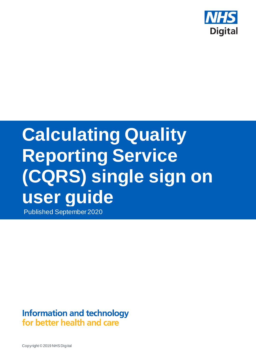

# **Calculating Quality Reporting Service (CQRS) single sign on user guide**

Published September 2020

**Information and technology** for better health and care

Copyright © 2019 NHS Digital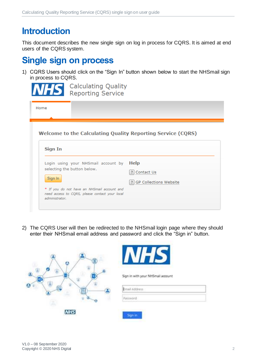## **Introduction**

This document describes the new single sign on log in process for CQRS. It is aimed at end users of the CQRS system.

## **Single sign on process**

1) CQRS Users should click on the "Sign In" button shown below to start the NHSmail sign in process to CQRS.

| <b>Calculating Quality</b><br><b>VIPS</b> Calculating Quant,       |                                    |
|--------------------------------------------------------------------|------------------------------------|
| Home                                                               |                                    |
| <b>Welcome to the Calculating Quality Reporting Service (CQRS)</b> |                                    |
|                                                                    |                                    |
| <b>Sign In</b>                                                     |                                    |
| Login using your NHSmail account by                                | Help                               |
| selecting the button below.                                        | 2<br>Contact Us                    |
| Sign In                                                            | <b>GP Collections Website</b><br>2 |

2) The CQRS User will then be redirected to the NHSmail login page where they should enter their NHSmail email address and password and click the "Sign in" button.

|            | э,                                |
|------------|-----------------------------------|
| οP         | Sign in with your NHSmail account |
|            | Email Address                     |
| X          | Bassword                          |
| <b>NHS</b> | Sign in                           |